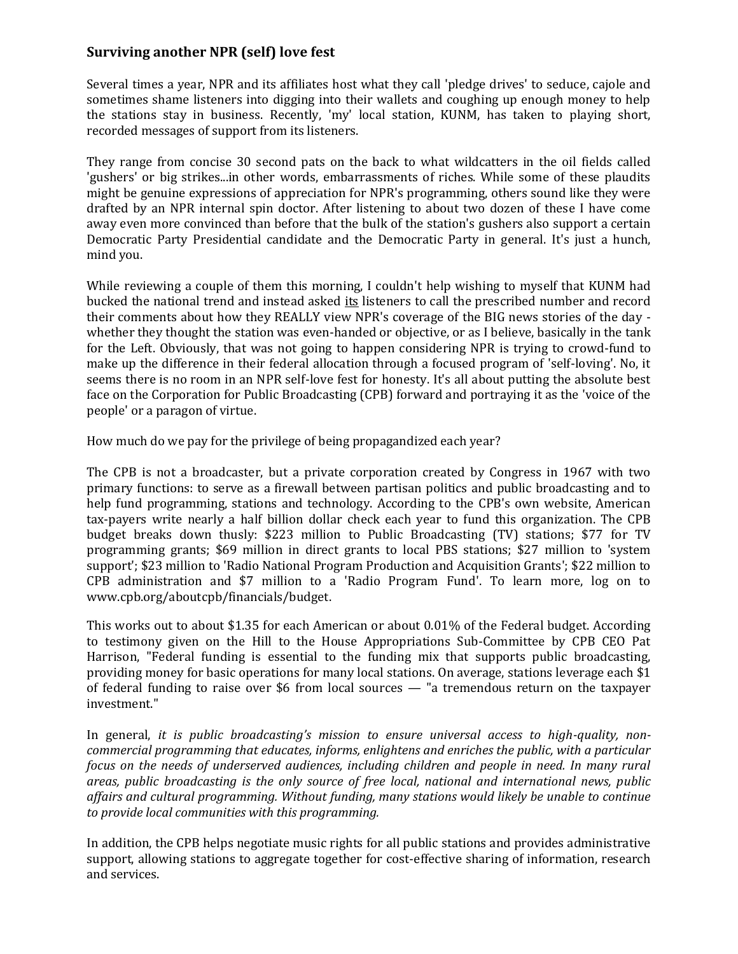## **Surviving another NPR (self) love fest**

Several times a year, NPR and its affiliates host what they call 'pledge drives' to seduce, cajole and sometimes shame listeners into digging into their wallets and coughing up enough money to help the stations stay in business. Recently, 'my' local station, KUNM, has taken to playing short, recorded messages of support from its listeners.

They range from concise 30 second pats on the back to what wildcatters in the oil fields called 'gushers' or big strikes...in other words, embarrassments of riches. While some of these plaudits might be genuine expressions of appreciation for NPR's programming, others sound like they were drafted by an NPR internal spin doctor. After listening to about two dozen of these I have come away even more convinced than before that the bulk of the station's gushers also support a certain Democratic Party Presidential candidate and the Democratic Party in general. It's just a hunch, mind you.

While reviewing a couple of them this morning, I couldn't help wishing to myself that KUNM had bucked the national trend and instead asked its listeners to call the prescribed number and record their comments about how they REALLY view NPR's coverage of the BIG news stories of the day whether they thought the station was even-handed or objective, or as I believe, basically in the tank for the Left. Obviously, that was not going to happen considering NPR is trying to crowd-fund to make up the difference in their federal allocation through a focused program of 'self-loving'. No, it seems there is no room in an NPR self-love fest for honesty. It's all about putting the absolute best face on the Corporation for Public Broadcasting (CPB) forward and portraying it as the 'voice of the people' or a paragon of virtue.

How much do we pay for the privilege of being propagandized each year?

The CPB is not a broadcaster, but a private corporation created by Congress in 1967 with two primary functions: to serve as a firewall between partisan politics and public broadcasting and to help fund programming, stations and technology. According to the CPB's own website, American tax-payers write nearly a half billion dollar check each year to fund this organization. The CPB budget breaks down thusly: \$223 million to Public Broadcasting (TV) stations; \$77 for TV programming grants; \$69 million in direct grants to local PBS stations; \$27 million to 'system support'; \$23 million to 'Radio National Program Production and Acquisition Grants'; \$22 million to CPB administration and \$7 million to a 'Radio Program Fund'. To learn more, log on to www.cpb.org/aboutcpb/financials/budget.

This works out to about \$1.35 for each American or about 0.01% of the Federal budget. According to testimony given on the Hill to the House Appropriations Sub-Committee by CPB CEO Pat Harrison, "Federal funding is essential to the funding mix that supports public broadcasting, providing money for basic operations for many local stations. On average, stations leverage each \$1 of federal funding to raise over \$6 from local sources — "a tremendous return on the taxpayer investment."

In general, *it is public broadcasting's mission to ensure universal access to high-quality, noncommercial programming that educates, informs, enlightens and enriches the public, with a particular focus on the needs of underserved audiences, including children and people in need. In many rural areas, public broadcasting is the only source of free local, national and international news, public affairs and cultural programming. Without funding, many stations would likely be unable to continue to provide local communities with this programming.*

In addition, the CPB helps negotiate music rights for all public stations and provides administrative support, allowing stations to aggregate together for cost-effective sharing of information, research and services.